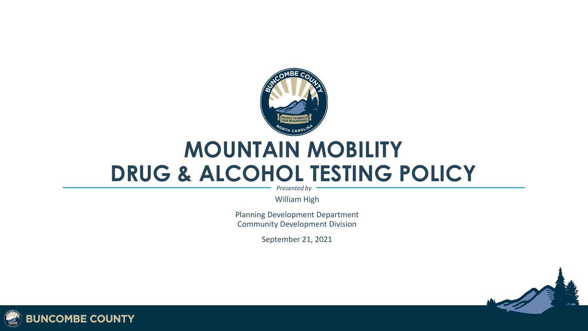

#### **MOUNTAIN MOBILITY DRUG & ALCOHOL TESTING POLICY**

*Presented by*

William High

Planning Development Department Community Development Division

September 21, 2021



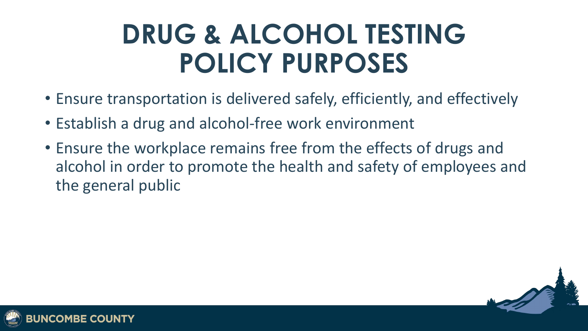## **DRUG & ALCOHOL TESTING POLICY PURPOSES**

- Ensure transportation is delivered safely, efficiently, and effectively
- Establish a drug and alcohol-free work environment
- Ensure the workplace remains free from the effects of drugs and alcohol in order to promote the health and safety of employees and the general public



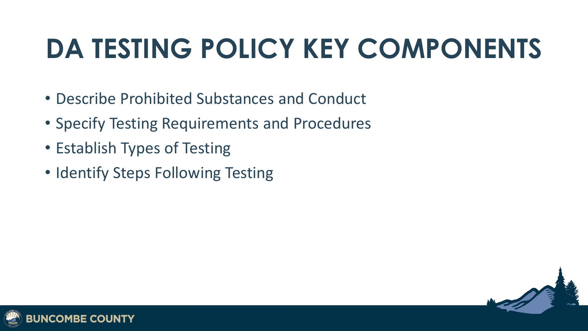# **DA TESTING POLICY KEY COMPONENTS**

- Describe Prohibited Substances and Conduct
- Specify Testing Requirements and Procedures
- Establish Types of Testing
- Identify Steps Following Testing



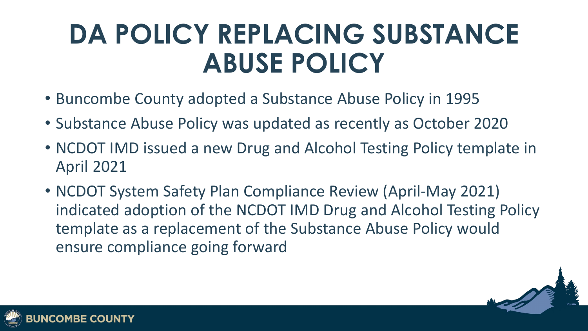## **DA POLICY REPLACING SUBSTANCE ABUSE POLICY**

- Buncombe County adopted a Substance Abuse Policy in 1995
- Substance Abuse Policy was updated as recently as October 2020
- NCDOT IMD issued a new Drug and Alcohol Testing Policy template in April 2021
- NCDOT System Safety Plan Compliance Review (April-May 2021) indicated adoption of the NCDOT IMD Drug and Alcohol Testing Policy template as a replacement of the Substance Abuse Policy would ensure compliance going forward